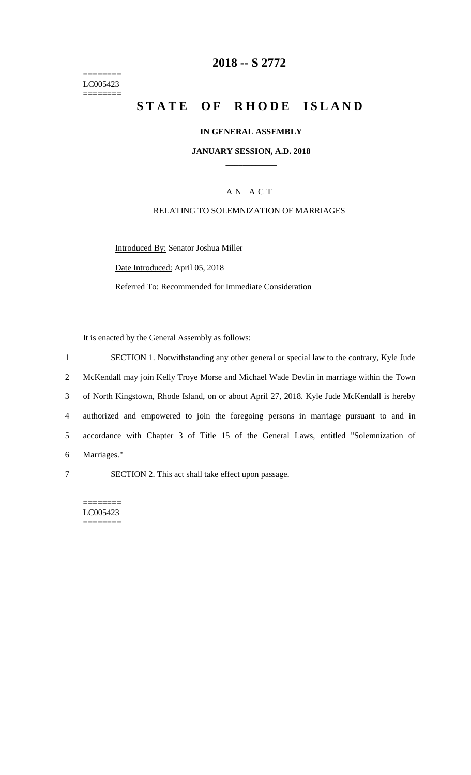======== LC005423  $=$ 

## **2018 -- S 2772**

# **STATE OF RHODE ISLAND**

#### **IN GENERAL ASSEMBLY**

#### **JANUARY SESSION, A.D. 2018 \_\_\_\_\_\_\_\_\_\_\_\_**

## A N A C T

#### RELATING TO SOLEMNIZATION OF MARRIAGES

Introduced By: Senator Joshua Miller

Date Introduced: April 05, 2018

Referred To: Recommended for Immediate Consideration

It is enacted by the General Assembly as follows:

 SECTION 1. Notwithstanding any other general or special law to the contrary, Kyle Jude McKendall may join Kelly Troye Morse and Michael Wade Devlin in marriage within the Town of North Kingstown, Rhode Island, on or about April 27, 2018. Kyle Jude McKendall is hereby authorized and empowered to join the foregoing persons in marriage pursuant to and in accordance with Chapter 3 of Title 15 of the General Laws, entitled "Solemnization of Marriages."

7 SECTION 2. This act shall take effect upon passage.

======== LC005423 ========